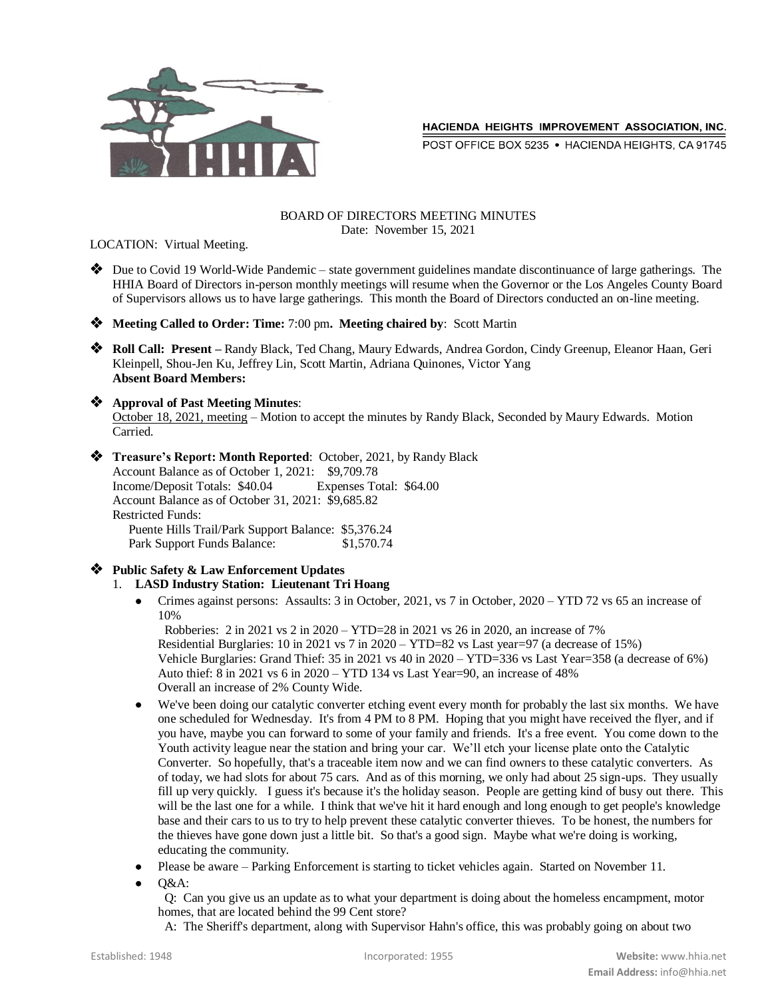

POST OFFICE BOX 5235 . HACIENDA HEIGHTS, CA 91745

#### BOARD OF DIRECTORS MEETING MINUTES Date: November 15, 2021

LOCATION: Virtual Meeting.

- Due to Covid 19 World-Wide Pandemic state government guidelines mandate discontinuance of large gatherings. The HHIA Board of Directors in-person monthly meetings will resume when the Governor or the Los Angeles County Board of Supervisors allows us to have large gatherings. This month the Board of Directors conducted an on-line meeting.
- **Meeting Called to Order: Time:** 7:00 pm**. Meeting chaired by**: Scott Martin
- **Roll Call: Present –** Randy Black, Ted Chang, Maury Edwards, Andrea Gordon, Cindy Greenup, Eleanor Haan, Geri Kleinpell, Shou-Jen Ku, Jeffrey Lin, Scott Martin, Adriana Quinones, Victor Yang **Absent Board Members:**

#### **Approval of Past Meeting Minutes**:

October 18, 2021, meeting – Motion to accept the minutes by Randy Black, Seconded by Maury Edwards. Motion Carried.

- **Treasure's Report: Month Reported**: October, 2021, by Randy Black Account Balance as of October 1, 2021: \$9,709.78 Income/Deposit Totals: \$40.04 Expenses Total: \$64.00 Account Balance as of October 31, 2021: \$9,685.82 Restricted Funds: Puente Hills Trail/Park Support Balance: \$5,376.24 Park Support Funds Balance: \$1,570.74
- **Public Safety & Law Enforcement Updates**
	- 1. **LASD Industry Station: Lieutenant Tri Hoang**
		- Crimes against persons: Assaults: 3 in October, 2021, vs 7 in October, 2020 YTD 72 vs 65 an increase of 10%

 Robberies: 2 in 2021 vs 2 in 2020 – YTD=28 in 2021 vs 26 in 2020, an increase of 7% Residential Burglaries: 10 in 2021 vs 7 in 2020 – YTD=82 vs Last year=97 (a decrease of 15%) Vehicle Burglaries: Grand Thief: 35 in 2021 vs 40 in 2020 – YTD=336 vs Last Year=358 (a decrease of 6%) Auto thief: 8 in 2021 vs 6 in 2020 – YTD 134 vs Last Year=90, an increase of 48% Overall an increase of 2% County Wide.

- We've been doing our catalytic converter etching event every month for probably the last six months. We have one scheduled for Wednesday. It's from 4 PM to 8 PM. Hoping that you might have received the flyer, and if you have, maybe you can forward to some of your family and friends. It's a free event. You come down to the Youth activity league near the station and bring your car. We'll etch your license plate onto the Catalytic Converter. So hopefully, that's a traceable item now and we can find owners to these catalytic converters. As of today, we had slots for about 75 cars. And as of this morning, we only had about 25 sign-ups. They usually fill up very quickly. I guess it's because it's the holiday season. People are getting kind of busy out there. This will be the last one for a while. I think that we've hit it hard enough and long enough to get people's knowledge base and their cars to us to try to help prevent these catalytic converter thieves. To be honest, the numbers for the thieves have gone down just a little bit. So that's a good sign. Maybe what we're doing is working, educating the community.
- Please be aware Parking Enforcement is starting to ticket vehicles again. Started on November 11.
- O&A:

 Q: Can you give us an update as to what your department is doing about the homeless encampment, motor homes, that are located behind the 99 Cent store?

A: The Sheriff's department, along with Supervisor Hahn's office, this was probably going on about two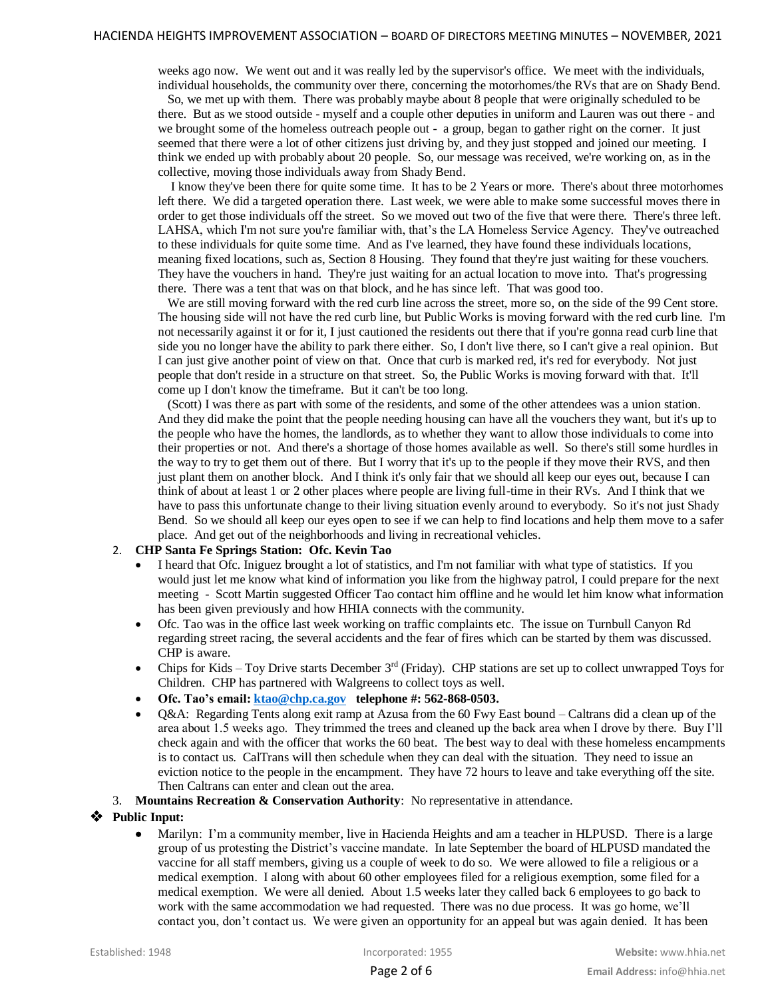weeks ago now. We went out and it was really led by the supervisor's office. We meet with the individuals, individual households, the community over there, concerning the motorhomes/the RVs that are on Shady Bend.

 So, we met up with them. There was probably maybe about 8 people that were originally scheduled to be there. But as we stood outside - myself and a couple other deputies in uniform and Lauren was out there - and we brought some of the homeless outreach people out - a group, began to gather right on the corner. It just seemed that there were a lot of other citizens just driving by, and they just stopped and joined our meeting. I think we ended up with probably about 20 people. So, our message was received, we're working on, as in the collective, moving those individuals away from Shady Bend.

 I know they've been there for quite some time. It has to be 2 Years or more. There's about three motorhomes left there. We did a targeted operation there. Last week, we were able to make some successful moves there in order to get those individuals off the street. So we moved out two of the five that were there. There's three left. LAHSA, which I'm not sure you're familiar with, that's the LA Homeless Service Agency. They've outreached to these individuals for quite some time. And as I've learned, they have found these individuals locations, meaning fixed locations, such as, Section 8 Housing. They found that they're just waiting for these vouchers. They have the vouchers in hand. They're just waiting for an actual location to move into. That's progressing there. There was a tent that was on that block, and he has since left. That was good too.

We are still moving forward with the red curb line across the street, more so, on the side of the 99 Cent store. The housing side will not have the red curb line, but Public Works is moving forward with the red curb line. I'm not necessarily against it or for it, I just cautioned the residents out there that if you're gonna read curb line that side you no longer have the ability to park there either. So, I don't live there, so I can't give a real opinion. But I can just give another point of view on that. Once that curb is marked red, it's red for everybody. Not just people that don't reside in a structure on that street. So, the Public Works is moving forward with that. It'll come up I don't know the timeframe. But it can't be too long.

 (Scott) I was there as part with some of the residents, and some of the other attendees was a union station. And they did make the point that the people needing housing can have all the vouchers they want, but it's up to the people who have the homes, the landlords, as to whether they want to allow those individuals to come into their properties or not. And there's a shortage of those homes available as well. So there's still some hurdles in the way to try to get them out of there. But I worry that it's up to the people if they move their RVS, and then just plant them on another block. And I think it's only fair that we should all keep our eyes out, because I can think of about at least 1 or 2 other places where people are living full-time in their RVs. And I think that we have to pass this unfortunate change to their living situation evenly around to everybody. So it's not just Shady Bend. So we should all keep our eyes open to see if we can help to find locations and help them move to a safer place. And get out of the neighborhoods and living in recreational vehicles.

## 2. **CHP Santa Fe Springs Station: Ofc. Kevin Tao**

- I heard that Ofc. Iniguez brought a lot of statistics, and I'm not familiar with what type of statistics. If you would just let me know what kind of information you like from the highway patrol, I could prepare for the next meeting - Scott Martin suggested Officer Tao contact him offline and he would let him know what information has been given previously and how HHIA connects with the community.
- Ofc. Tao was in the office last week working on traffic complaints etc. The issue on Turnbull Canyon Rd regarding street racing, the several accidents and the fear of fires which can be started by them was discussed. CHP is aware.
- Chips for Kids Toy Drive starts December 3rd (Friday). CHP stations are set up to collect unwrapped Toys for Children. CHP has partnered with Walgreens to collect toys as well.
- **Ofc. Tao's email[: ktao@chp.ca.gov](mailto:ktao@chp.ca.gov) telephone #: 562-868-0503.**
- Q&A: Regarding Tents along exit ramp at Azusa from the 60 Fwy East bound Caltrans did a clean up of the area about 1.5 weeks ago. They trimmed the trees and cleaned up the back area when I drove by there. Buy I'll check again and with the officer that works the 60 beat. The best way to deal with these homeless encampments is to contact us. CalTrans will then schedule when they can deal with the situation. They need to issue an eviction notice to the people in the encampment. They have 72 hours to leave and take everything off the site. Then Caltrans can enter and clean out the area.
- 3. **Mountains Recreation & Conservation Authority**: No representative in attendance.

#### **Public Input:**

 Marilyn: I'm a community member, live in Hacienda Heights and am a teacher in HLPUSD. There is a large group of us protesting the District's vaccine mandate. In late September the board of HLPUSD mandated the vaccine for all staff members, giving us a couple of week to do so. We were allowed to file a religious or a medical exemption. I along with about 60 other employees filed for a religious exemption, some filed for a medical exemption. We were all denied. About 1.5 weeks later they called back 6 employees to go back to work with the same accommodation we had requested. There was no due process. It was go home, we'll contact you, don't contact us. We were given an opportunity for an appeal but was again denied. It has been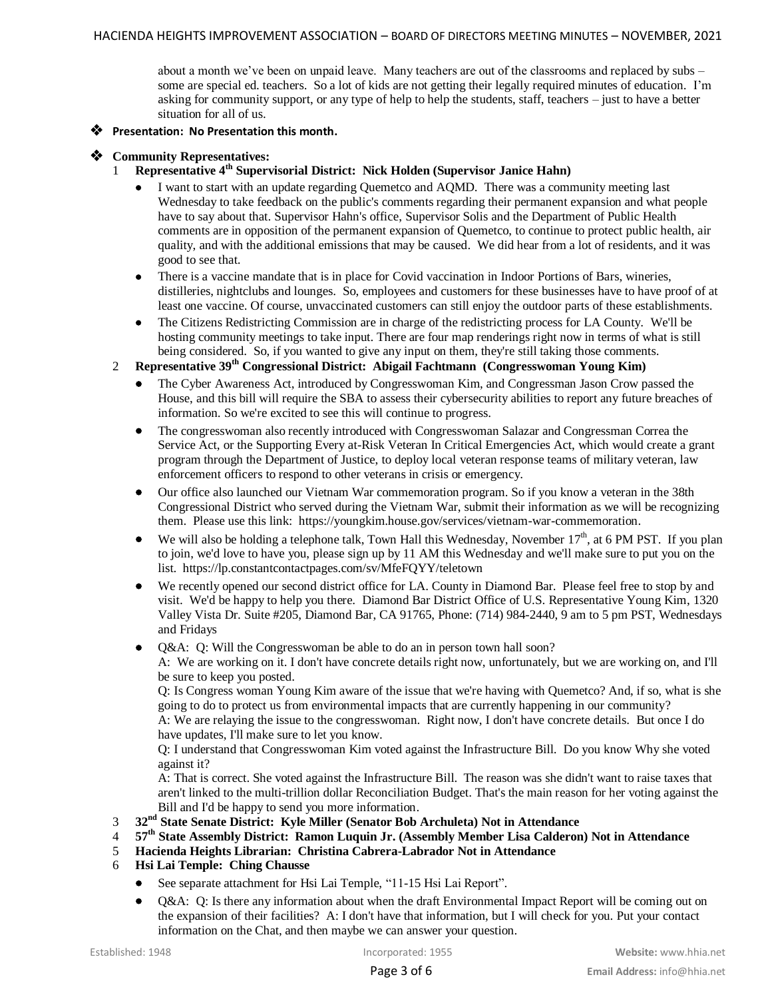about a month we've been on unpaid leave. Many teachers are out of the classrooms and replaced by subs – some are special ed. teachers. So a lot of kids are not getting their legally required minutes of education. I'm asking for community support, or any type of help to help the students, staff, teachers – just to have a better situation for all of us.

## **Presentation: No Presentation this month.**

## **Community Representatives:**

- 1 **Representative 4th Supervisorial District: Nick Holden (Supervisor Janice Hahn)**
	- I want to start with an update regarding Quemetco and AQMD. There was a community meeting last Wednesday to take feedback on the public's comments regarding their permanent expansion and what people have to say about that. Supervisor Hahn's office, Supervisor Solis and the Department of Public Health comments are in opposition of the permanent expansion of Quemetco, to continue to protect public health, air quality, and with the additional emissions that may be caused. We did hear from a lot of residents, and it was good to see that.
	- There is a vaccine mandate that is in place for Covid vaccination in Indoor Portions of Bars, wineries, distilleries, nightclubs and lounges. So, employees and customers for these businesses have to have proof of at least one vaccine. Of course, unvaccinated customers can still enjoy the outdoor parts of these establishments.
	- The Citizens Redistricting Commission are in charge of the redistricting process for LA County. We'll be hosting community meetings to take input. There are four map renderings right now in terms of what is still being considered. So, if you wanted to give any input on them, they're still taking those comments.

## 2 **Representative 39th Congressional District: Abigail Fachtmann (Congresswoman Young Kim)**

- The Cyber Awareness Act, introduced by Congresswoman Kim, and Congressman Jason Crow passed the House, and this bill will require the SBA to assess their cybersecurity abilities to report any future breaches of information. So we're excited to see this will continue to progress.
- The congresswoman also recently introduced with Congresswoman Salazar and Congressman Correa the Service Act, or the Supporting Every at-Risk Veteran In Critical Emergencies Act, which would create a grant program through the Department of Justice, to deploy local veteran response teams of military veteran, law enforcement officers to respond to other veterans in crisis or emergency.
- Our office also launched our Vietnam War commemoration program. So if you know a veteran in the 38th Congressional District who served during the Vietnam War, submit their information as we will be recognizing them. Please use this link: https://youngkim.house.gov/services/vietnam-war-commemoration.
- $\bullet$  We will also be holding a telephone talk, Town Hall this Wednesday, November 17<sup>th</sup>, at 6 PM PST. If you plan to join, we'd love to have you, please sign up by 11 AM this Wednesday and we'll make sure to put you on the list. https://lp.constantcontactpages.com/sv/MfeFQYY/teletown
- We recently opened our second district office for LA. County in Diamond Bar. Please feel free to stop by and visit. We'd be happy to help you there. Diamond Bar District Office of U.S. Representative Young Kim, 1320 Valley Vista Dr. Suite #205, Diamond Bar, CA 91765, Phone: (714) 984-2440, 9 am to 5 pm PST, Wednesdays and Fridays
- Q&A: Q: Will the Congresswoman be able to do an in person town hall soon?

A: We are working on it. I don't have concrete details right now, unfortunately, but we are working on, and I'll be sure to keep you posted.

Q: Is Congress woman Young Kim aware of the issue that we're having with Quemetco? And, if so, what is she going to do to protect us from environmental impacts that are currently happening in our community?

A: We are relaying the issue to the congresswoman. Right now, I don't have concrete details. But once I do have updates, I'll make sure to let you know.

Q: I understand that Congresswoman Kim voted against the Infrastructure Bill. Do you know Why she voted against it?

A: That is correct. She voted against the Infrastructure Bill. The reason was she didn't want to raise taxes that aren't linked to the multi-trillion dollar Reconciliation Budget. That's the main reason for her voting against the Bill and I'd be happy to send you more information.

- 3 **32nd State Senate District: Kyle Miller (Senator Bob Archuleta) Not in Attendance**
- 4 **57th State Assembly District: Ramon Luquin Jr. (Assembly Member Lisa Calderon) Not in Attendance**
- 5 **Hacienda Heights Librarian: Christina Cabrera-Labrador Not in Attendance**
- 6 **Hsi Lai Temple: Ching Chausse**
	- See separate attachment for Hsi Lai Temple, "11-15 Hsi Lai Report".
	- Q&A: Q: Is there any information about when the draft Environmental Impact Report will be coming out on the expansion of their facilities? A: I don't have that information, but I will check for you. Put your contact information on the Chat, and then maybe we can answer your question.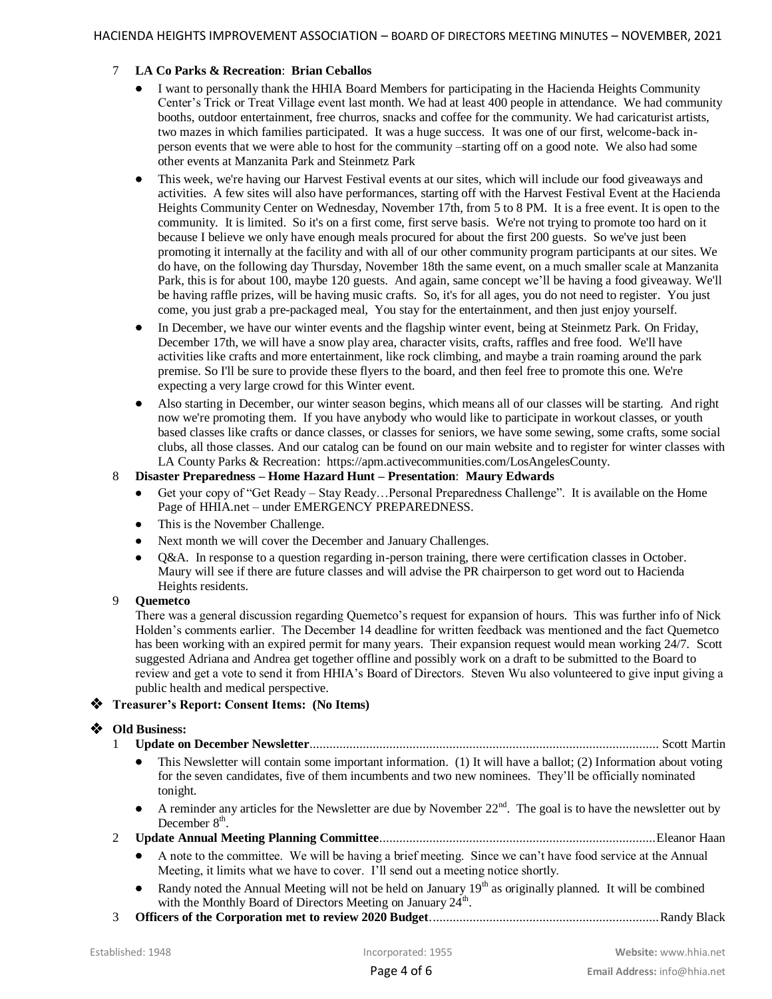## 7 **LA Co Parks & Recreation**: **Brian Ceballos**

- I want to personally thank the HHIA Board Members for participating in the Hacienda Heights Community Center's Trick or Treat Village event last month. We had at least 400 people in attendance. We had community booths, outdoor entertainment, free churros, snacks and coffee for the community. We had caricaturist artists, two mazes in which families participated. It was a huge success. It was one of our first, welcome-back inperson events that we were able to host for the community –starting off on a good note. We also had some other events at Manzanita Park and Steinmetz Park
- This week, we're having our Harvest Festival events at our sites, which will include our food giveaways and activities. A few sites will also have performances, starting off with the Harvest Festival Event at the Hacienda Heights Community Center on Wednesday, November 17th, from 5 to 8 PM. It is a free event. It is open to the community. It is limited. So it's on a first come, first serve basis. We're not trying to promote too hard on it because I believe we only have enough meals procured for about the first 200 guests. So we've just been promoting it internally at the facility and with all of our other community program participants at our sites. We do have, on the following day Thursday, November 18th the same event, on a much smaller scale at Manzanita Park, this is for about 100, maybe 120 guests. And again, same concept we'll be having a food giveaway. We'll be having raffle prizes, will be having music crafts. So, it's for all ages, you do not need to register. You just come, you just grab a pre-packaged meal, You stay for the entertainment, and then just enjoy yourself.
- In December, we have our winter events and the flagship winter event, being at Steinmetz Park. On Friday, December 17th, we will have a snow play area, character visits, crafts, raffles and free food. We'll have activities like crafts and more entertainment, like rock climbing, and maybe a train roaming around the park premise. So I'll be sure to provide these flyers to the board, and then feel free to promote this one. We're expecting a very large crowd for this Winter event.
- Also starting in December, our winter season begins, which means all of our classes will be starting. And right now we're promoting them. If you have anybody who would like to participate in workout classes, or youth based classes like crafts or dance classes, or classes for seniors, we have some sewing, some crafts, some social clubs, all those classes. And our catalog can be found on our main website and to register for winter classes with LA County Parks & Recreation: https://apm.activecommunities.com/LosAngelesCounty.

#### 8 **Disaster Preparedness – Home Hazard Hunt – Presentation**: **Maury Edwards**

- Get your copy of "Get Ready Stay Ready…Personal Preparedness Challenge". It is available on the Home Page of HHIA.net – under EMERGENCY PREPAREDNESS.
- This is the November Challenge.
- Next month we will cover the December and January Challenges.
- Q&A. In response to a question regarding in-person training, there were certification classes in October. Maury will see if there are future classes and will advise the PR chairperson to get word out to Hacienda Heights residents.

#### 9 **Quemetco**

There was a general discussion regarding Quemetco's request for expansion of hours. This was further info of Nick Holden's comments earlier. The December 14 deadline for written feedback was mentioned and the fact Quemetco has been working with an expired permit for many years. Their expansion request would mean working 24/7. Scott suggested Adriana and Andrea get together offline and possibly work on a draft to be submitted to the Board to review and get a vote to send it from HHIA's Board of Directors. Steven Wu also volunteered to give input giving a public health and medical perspective.

## **Treasurer's Report: Consent Items: (No Items)**

## **Old Business:**

- 1 **Update on December Newsletter**......................................................................................................... Scott Martin
- This Newsletter will contain some important information. (1) It will have a ballot; (2) Information about voting for the seven candidates, five of them incumbents and two new nominees. They'll be officially nominated tonight.
- A reminder any articles for the Newsletter are due by November  $22<sup>nd</sup>$ . The goal is to have the newsletter out by December 8<sup>th</sup>.
- 2 **Update Annual Meeting Planning Committee**...................................................................................Eleanor Haan
	- A note to the committee. We will be having a brief meeting. Since we can't have food service at the Annual Meeting, it limits what we have to cover. I'll send out a meeting notice shortly.
	- Randy noted the Annual Meeting will not be held on January 19<sup>th</sup> as originally planned. It will be combined with the Monthly Board of Directors Meeting on January  $24^{\text{th}}$ .
- 3 **Officers of the Corporation met to review 2020 Budget**.....................................................................Randy Black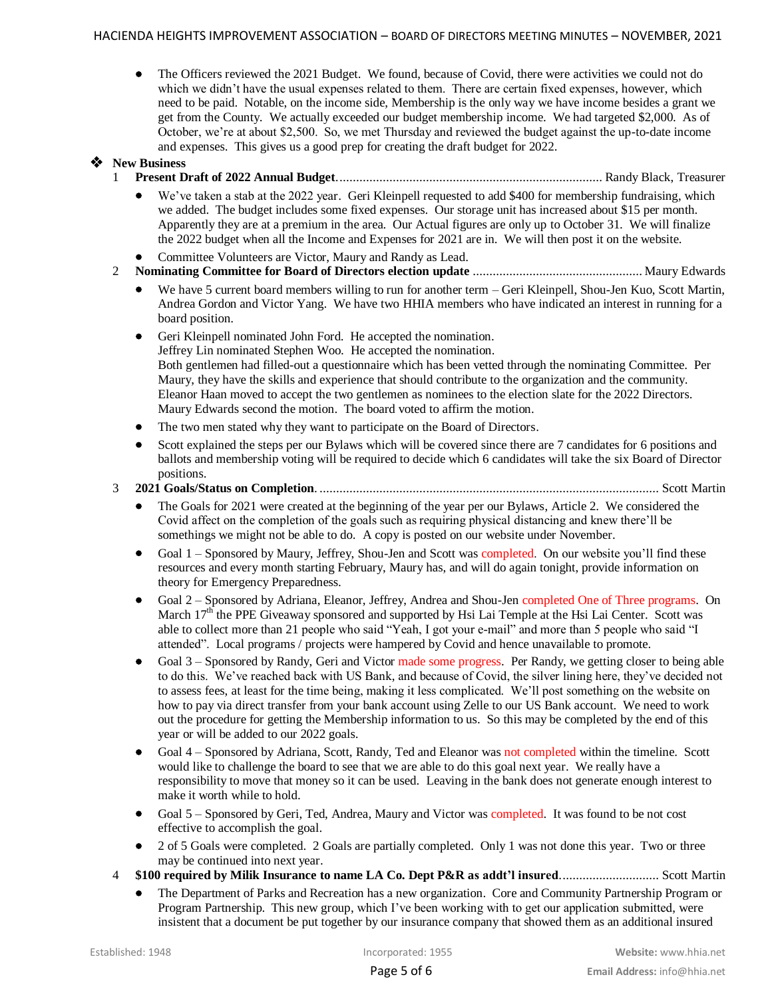The Officers reviewed the 2021 Budget. We found, because of Covid, there were activities we could not do which we didn't have the usual expenses related to them. There are certain fixed expenses, however, which need to be paid. Notable, on the income side, Membership is the only way we have income besides a grant we get from the County. We actually exceeded our budget membership income. We had targeted \$2,000. As of October, we're at about \$2,500. So, we met Thursday and reviewed the budget against the up-to-date income and expenses. This gives us a good prep for creating the draft budget for 2022.

# **New Business**

- 1 **Present Draft of 2022 Annual Budget**................................................................................ Randy Black, Treasurer
	- We've taken a stab at the 2022 year. Geri Kleinpell requested to add \$400 for membership fundraising, which we added. The budget includes some fixed expenses. Our storage unit has increased about \$15 per month. Apparently they are at a premium in the area. Our Actual figures are only up to October 31. We will finalize the 2022 budget when all the Income and Expenses for 2021 are in. We will then post it on the website.
	- Committee Volunteers are Victor, Maury and Randy as Lead.
- 2 **Nominating Committee for Board of Directors election update** ................................................... Maury Edwards
	- We have 5 current board members willing to run for another term Geri Kleinpell, Shou-Jen Kuo, Scott Martin, Andrea Gordon and Victor Yang. We have two HHIA members who have indicated an interest in running for a board position.
	- Geri Kleinpell nominated John Ford. He accepted the nomination. Jeffrey Lin nominated Stephen Woo. He accepted the nomination. Both gentlemen had filled-out a questionnaire which has been vetted through the nominating Committee. Per Maury, they have the skills and experience that should contribute to the organization and the community. Eleanor Haan moved to accept the two gentlemen as nominees to the election slate for the 2022 Directors. Maury Edwards second the motion. The board voted to affirm the motion.
	- The two men stated why they want to participate on the Board of Directors.
	- Scott explained the steps per our Bylaws which will be covered since there are 7 candidates for 6 positions and ballots and membership voting will be required to decide which 6 candidates will take the six Board of Director positions.
- 3 **2021 Goals/Status on Completion**. ...................................................................................................... Scott Martin
	- The Goals for 2021 were created at the beginning of the year per our Bylaws, Article 2. We considered the Covid affect on the completion of the goals such as requiring physical distancing and knew there'll be somethings we might not be able to do. A copy is posted on our website under November.
	- Goal 1 Sponsored by Maury, Jeffrey, Shou-Jen and Scott was completed. On our website you'll find these resources and every month starting February, Maury has, and will do again tonight, provide information on theory for Emergency Preparedness.
	- Goal 2 Sponsored by Adriana, Eleanor, Jeffrey, Andrea and Shou-Jen completed One of Three programs. On March  $17<sup>th</sup>$  the PPE Giveaway sponsored and supported by Hsi Lai Temple at the Hsi Lai Center. Scott was able to collect more than 21 people who said "Yeah, I got your e-mail" and more than 5 people who said "I attended". Local programs / projects were hampered by Covid and hence unavailable to promote.
	- Goal 3 Sponsored by Randy, Geri and Victor made some progress. Per Randy, we getting closer to being able to do this. We've reached back with US Bank, and because of Covid, the silver lining here, they've decided not to assess fees, at least for the time being, making it less complicated. We'll post something on the website on how to pay via direct transfer from your bank account using Zelle to our US Bank account. We need to work out the procedure for getting the Membership information to us. So this may be completed by the end of this year or will be added to our 2022 goals.
	- Goal 4 Sponsored by Adriana, Scott, Randy, Ted and Eleanor was not completed within the timeline. Scott would like to challenge the board to see that we are able to do this goal next year. We really have a responsibility to move that money so it can be used. Leaving in the bank does not generate enough interest to make it worth while to hold.
	- Goal 5 Sponsored by Geri, Ted, Andrea, Maury and Victor was completed. It was found to be not cost effective to accomplish the goal.
	- 2 of 5 Goals were completed. 2 Goals are partially completed. Only 1 was not done this year. Two or three may be continued into next year.
- 4 **\$100 required by Milik Insurance to name LA Co. Dept P&R as addt'l insured**.............................. Scott Martin
	- The Department of Parks and Recreation has a new organization. Core and Community Partnership Program or Program Partnership. This new group, which I've been working with to get our application submitted, were insistent that a document be put together by our insurance company that showed them as an additional insured